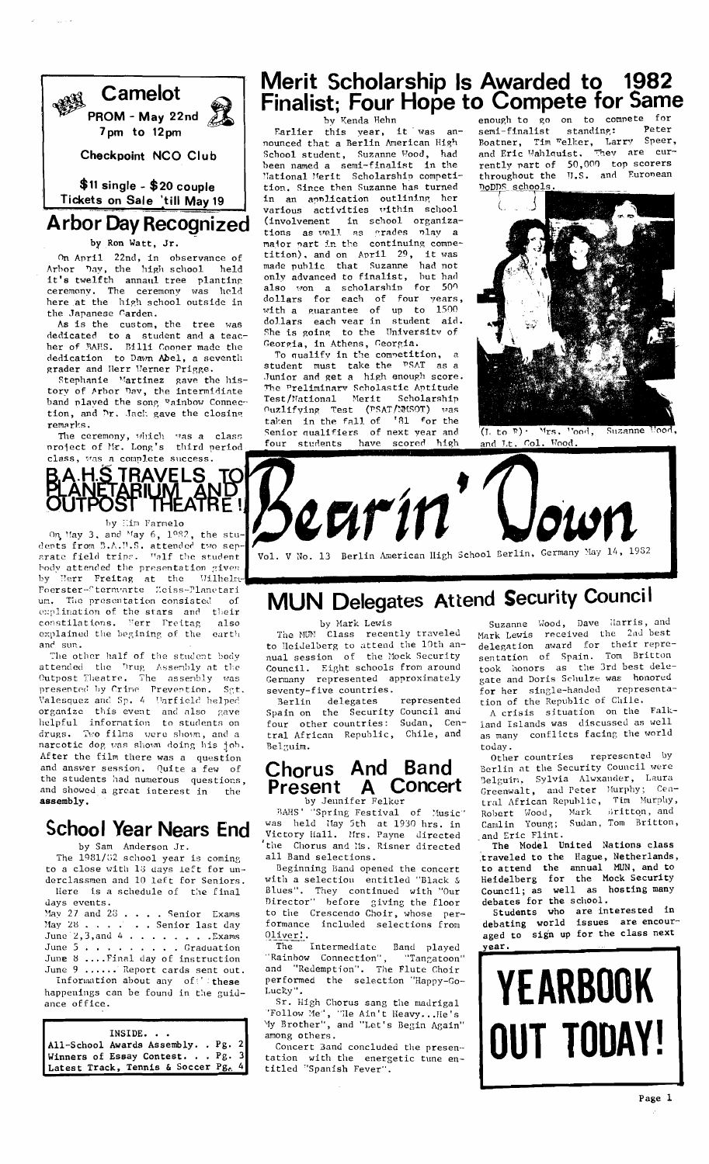

Checkpoint NCO Club

 $$11$  single -  $$20$  couple Tickets on Sale 'till May 19

# Arbor Day Recognized

#### by Ron Watt, Jr.

On April 22nd, in observance of Arbor Day, the high school held it's twelfth annaul tree planting<br>ceremony. The ceremony was held here at the high school outside in the Japanese Carden.

As is the custom, the tree was dedicated to a student and a teac-<br>her of BAHS. Billi Cooper made the dedication to Dawn Abel, a seventh grader and Herr Werner Prigge.

Stephanie Martinez gave the history of Arbor Dav, the intermidiate band played the song gainbow Connection, and Dr. Jack gave the closing remarks.

The ceremony, which was a class project of Mr. Long's third period



On May 3, and May 6, 1982, the stu-<br>dents from B.A.U.S. attended two sep-<br>arate field trips. Walf the student body attended the presentation given Herr Freitag at the by Wilhelm-Foerster-Sternvarte Zeiss-Planetari The presentation consisted um.  $\alpha$ explination of the stars and their constilations. Ferr Freitag also explained the begining of the earth sun. and

The other half of the student body attended the Drug Assembly at the Outpost Theatre. The assembly was<br>presented by Crime Prevention. Sgt<br>Valesquez and Sp. 4 Uarfield helped Set. organize this event and also gave<br>helpful information to students on drugs. Two films were shown, and a narcotic dog was shown doing his job. After the film there was a question and answer session. Quite a few of the students had numerous questions, and showed a great interest in the  $assembly.$ 

## **School Year Nears End**

by Sam Anderson Jr.

The 1981/82 school year is coming to a close with 18 days left for underclassmen and 10 left for Seniors. Here is a schedule of the final days events.

May 27 and 28 . . . . Senior Exams May 28 . . . . . . . . Senior Laxams<br>May 28 . . . . . . . Senior last day<br>June 2, 3, and 4 . . . . . . . . . . Exams<br>June 5 . . . . . . . . . . . . Graduation June 8 .... Final day of instruction June 9 ...... Report cards sent out.

Information about any  $of$  these happenings can be found in the guidance office.

| INSIDE.                             |  |
|-------------------------------------|--|
| All-School Awards Assembly. . Pg. 2 |  |
| Winners of Essay Contest. $Pg. 3$   |  |
| Latest Track, Tennis & Soccer Pg. 4 |  |

# Merit Scholarship Is Awarded to 1982 Finalist; Four Hope to Compete for Same

by Kenda Hehn

Farlier this year, it was an-<br>nounced that a Berlin American High School student, Suzanne Wood, had been named a semi-finalist in the<br>National Merit Scholarship competition. Since then Suzanne has turned in an application outlining her<br>various activities within school (involvement in school organizations as well as grades play a major part in the continuing competition), and on April 29, it was made public that Suzanne had not only advanced to finalist, but had also won a scholarship for 500<br>dollars for each of four years, with a guarantee of up to 1500<br>dollars each vear in student aid. She is going to the University of Georgia, in Athens, Georgia.

To qualify in the competition,  $\overline{a}$ student must take the PSAT as a Junior and get a high enough score. The Preliminary Scholastic Aptitude<br>Test/Mational Merit Scholarship Ouzlifying Test (PSAT/MASOT) was taken in the fall of '81 for the Senior qualifiers of next year and have scored high four students

enough to go on to compete for Peter semi-finalist standing: Tim Welker, Larry Speer,<br>Wahlquist, They are cur-Boatner, Tim Felker<br>and Eric Wahlquist. rently part of 50,000 top scorers<br>throughout the U.S. and European noDDS schools,



 $(\overline{I_1} \text{ to } R) \cdot \text{Mrs. } \text{'ood},$ Suzanne and  $Lt$ . Col. Wood.

Vol. V No. 13 Berlin American High School Berlin, Germany May 14, 1982

# MUN Delegates Attend Security Council

by Mark Lewis<br>Class recently traveled The NUN to Heidelberg to attend the 10th annual session of the Mock Security Council. Eight schools from around Germany represented approximately seventy-five countries.

Berlin delegates represented Spain on the Security Council and four other countries: Sudan, Central African Republic, Chile, and Belguim.

## Chorus And Band Present A Concert

by Jennifer Felker

by Jennifer Felker<br>
BAHS' "Spring Festival of Music<br>
was held Hay 5th at 1930 hrs. in<br>
Victory Hall. Mrs. Payne directed of Music" the Chorus and Ms. Risner directed all Band selections.

Beginning Band opened the concert<br>with a selection entitled "Black & Blues". They continued with "Our<br>Director" before giving the floor to the Crescendo Choir, whose performance included selections from  $0$ liver!

The Intermediate Band played<br>"Rainbow Connection", "Tangatoon"<br>and "Pada" "Tangatoon" "Redemption". The Flute Choir and performed the selection "Happy-Go-Lucky"

Sr. High Chorus sang the madrigal "Follow Me", "He Ain't Heavy...He's<br>"Wy Brother", and "Let's Begin Again" among others.

Concert Band concluded the presentation with the energetic tune en-<br>titled "Spanish Fever".

Suzanne Wood, Dave Harris, and Mark Lewis received the 2nd best delegation award for their repre-<br>sentation of Spain. Tom Britton took honors as the 3rd best delegate and Doris Schulze was honored<br>for her single-handed representa-<br>tion of the Republic of Chile.

A crisis situation on the Falkland Islands was discussed as well as many conflicts facing the world today.

represented by Other countries Berlin at the Security Council were Belguim, Sylvia Alwxander, Laura Greenwalt, and Peter Murphy;  $Cen$ tral African Republic, Tim Murphy, Robert Wood, Mark Britton, and<br>Camlin Young; Sudan, Tom Britton, and Eric Flint.

The Model United Nations class Inc noded the Hague, Netherlands,<br>traveled to the Hague, Netherlands,<br>to attend the annual MUN, and to<br>Heidelberg for the Mock Security<br>Council; as well as hosting many<br>debates for the school.

students who are interested in<br>debating world issues are encour-<br>aged to sign up for the class next ear.

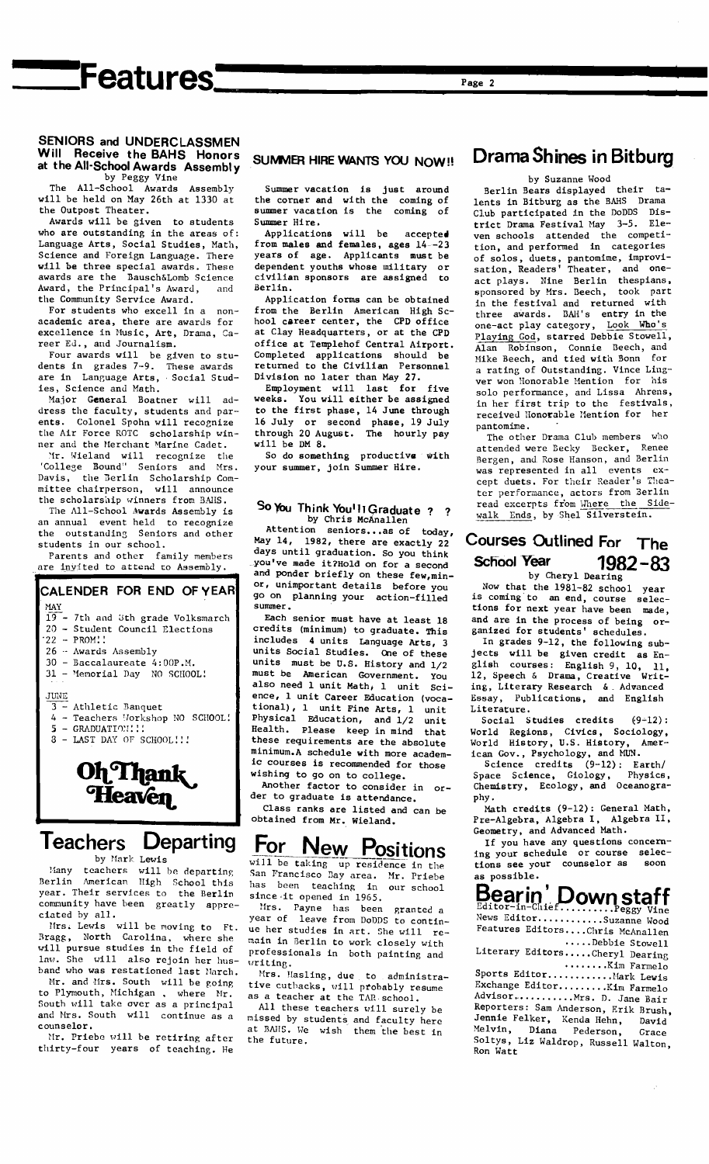# 'Features'

#### SENIORS and UNDERCLASSMEN Will Receive the BAHS Honors at the All-School Awards Assembly by Peggy Vine

The All-School Awards Assembly<br>will be held on May 26th at 1330 at the Outpost Theater.

Awards will be given to students who are outstanding in the areas of: Language Arts, Social Studies, Math, Science and Foreign Language. There will be three special awards. These awards are the Bausch&Lomb Science Award, the Principal's Award, and the Community Service Award.

For students who excell in a nonacademic area, there are awards for excellence in Music, Art, Drama, Career Ed., and Journalism.

Four awards will be given to students in grades 7-9. These awards<br>are in Language Arts, Social Studies, Science and Math.

Major General Boatner will address the faculty, students and parents. Colonel Spohn will recognize the Air Force ROTC scholarship winner and the Merchant Marine Cadet.

Mr. Wieland will recognize the<br>ollege Bound" Seniors and Mrs. 'College Bound" Davis, the Berlin Scholarship Committee chairperson, will announce the scholarship winners from BAHS. The All-School Awards Assembly is

an annual event held to recognize the outstanding Seniors and other students in our school.

Parents and other family members are invited to attend to Assembly.

#### CALENDER FOR END OF YEAR **MAY** - 7th and 3th grade Volksmarch  $19$ 20 - Student Council Elections  $22 - PROM!!$ 26 - Awards Assembly 30 - Baccalaureate 4:00P.M. 31 - Memorial Day NO SCHOOL! JUNE Athletic Banquet 4 - Teachers Workshop NO SCHOOL!  $5 -$  GRADUATION!!!<br>3 - LAST DAY OF SCHOOL!!! Oh Thank

# Teachers Departing

Heaven

by Mark Lewis

Many teachers will be departing<br>Berlin American High School this<br>year. Their services to the Berlin community have been greatly appreciated by all.

Mrs. Lewis will be moving to Ft.<br>Bragg, North Carolina, where she will pursue studies in the field of law. She will also rejoin her husband who was restationed last March.

Mr. and Mrs. South will be going to Plymouth, Michigan, where Mr. South will take over as a principal and Mrs. South will continue as a counselor.

Mr. Priebe will be retiring after thirty-four years of teaching. He

#### **SUMMER HIRE WANTS YOU NOW!!**

Summer vacation is just around the corner and with the coming of<br>summer vacation is the coming of Summer Hire.

Applications will be accepted from males and females, ages 14--23 years of age. Applicants must be dependent youths whose military or<br>civilian sponsors are assigned to Berlin.

Application forms can be obtained from the Berlin American High School career center, the CPD office at Clay Headquarters, or at the CPD office at Templehof Central Airport. Completed applications should be<br>returned to the Civilian Personnel Division no later than May 27.

Employment will last for five veeks. You will either be assigned to the first phase, 14 June through 16 July or second phase, 19 July<br>through 20 August. The hourly pay  $w111$  be DM 8.

So do something productive with your summer, join Summer Hire.

#### So You Think You! Il Graduate ? ? by Chris McAnallen

Attention seniors...as of today, May 14, 1982, there are exactly 22 days until graduation. So you think you've made it?Hold on for a second and ponder briefly on these few, minor, unimportant details before you go on planning your action-filled -<br>summer.

Each senior must have at least 18 credits (minimum) to graduate. This<br>includes 4 units Language Arts, 3 units Social Studies. One of these units must be U.S. History and 1/2 must be American Government. YOU also need 1 unit Math, 1 unit  $Sci$ ence, 1 unit Career Education (vocational), 1 unit Fine Arts, 1<br>Physical Education, and 1/2 unit unit Health. Please keep in mind that these requirements are the absolute minimum.A schedule with more academic courses is recommended for those wishing to go on to college.

Another factor to consider in order to graduate is attendance.

Class ranks are listed and can be<br>obtained from Mr. Wieland.

For New Positions<br>
San Francisco Bay area. Mr. Priebe has been teaching in our school<br>since it opened in 1965.

Mrs. Payne has been granted a<br>year of leave from DoDDS to continue her studies in art. She will remain in Berlin to work closely with professionals in both painting and .<br>vriting.

Mrs. Hasling, due to administrative cutbacks, will probably resume<br>as a teacher at the TAR school.

All these teachers will surely be missed by students and faculty here<br>at BAHS. We wish them the best in the future.

## Drama Shines in Bitburg

by Suzanne Wood

Berlin Bears displayed their talents in Bitburg as the BAHS Drama Club participated in the DoDDS District Drama Festival May 3-5. Eleven schools attended the competition, and performed in categories of solos, duets, pantomime, improvi-<br>sation, Readers' Theater, and oneact plays. Nine Berlin thespians,<br>sponsored by Mrs. Beech, took part in the festival and returned with<br>three awards. BAH's entry in the one-act play category, Look Who's Playing God, starred Debbie Stowell, Alan Robinson, Connie Beech, and<br>Mike Beech, and tied with Bonn for<br>a rating of Outstanding. Vince Lingver won Honorable Mention for his solo performance, and Lissa Ahrens, in her first trip to the festivals, received Honorable Mention for her pantomime.

The other Drama Club members who Renee attended were Becky Becker, Bergen, and Rose Hanson, and Berlin was represented in all events except duets. For their Reader's Theater performance, actors from Berlin read excerpts from Where the Sidewalk Ends, by Shel Silverstein.

#### Courses Outlined For The **School Year**  $1982 - 83$ by Cheryl Dearing

Now that the 1981-82 school year is coming to an end, course selec-<br>tions for next year have been made, and are in the process of being organized for students' schedules.<br>In grades 9-12, the following sub-

jects will be given credit as English courses: English 9, 10, 11,<br>12, Speech & Drama, Creative Writ-12, Speech & Drama, Creative Writing, Literary Research & Advanced Essay, Publications, and English Literature.

Social Studies credits  $(9-12)$ : World Regions, Civics, Sociology,<br>World History, U.S. History, American Gov., Psychology, and MUN.

Science credits (9-12): Earth/<br>Science Credits (9-12): Earth/<br>pace Science, Giology, Physics, Space Science, Giology, Physics,<br>Chemistry, Ecology, and Oceanography.

Math credits (9-12): General Math, Pre-Algebra, Algebra I, Algebra II, Geometry, and Advanced Math.

If you have any questions concern-<br>ing your schedule or course selections see your counselor as soon as possible.

# Bearin' Down staff

News Editor............Suzanne Wood Features Editors....Chris McAnallen  $\cdots$ Debbie Stowell

Literary Editors.....Cheryl Dearing

Exchange Editor......... Kim Farmelo Advisor...........Mrs. D. Jane Bair Reporters: Sam Anderson, Erik Brush, Jennie Felker, Kenda Hehn, David Melvin, Diana Pederson, Grace<br>Soltys, Liz Waldrop, Russell Walton, Ron Watt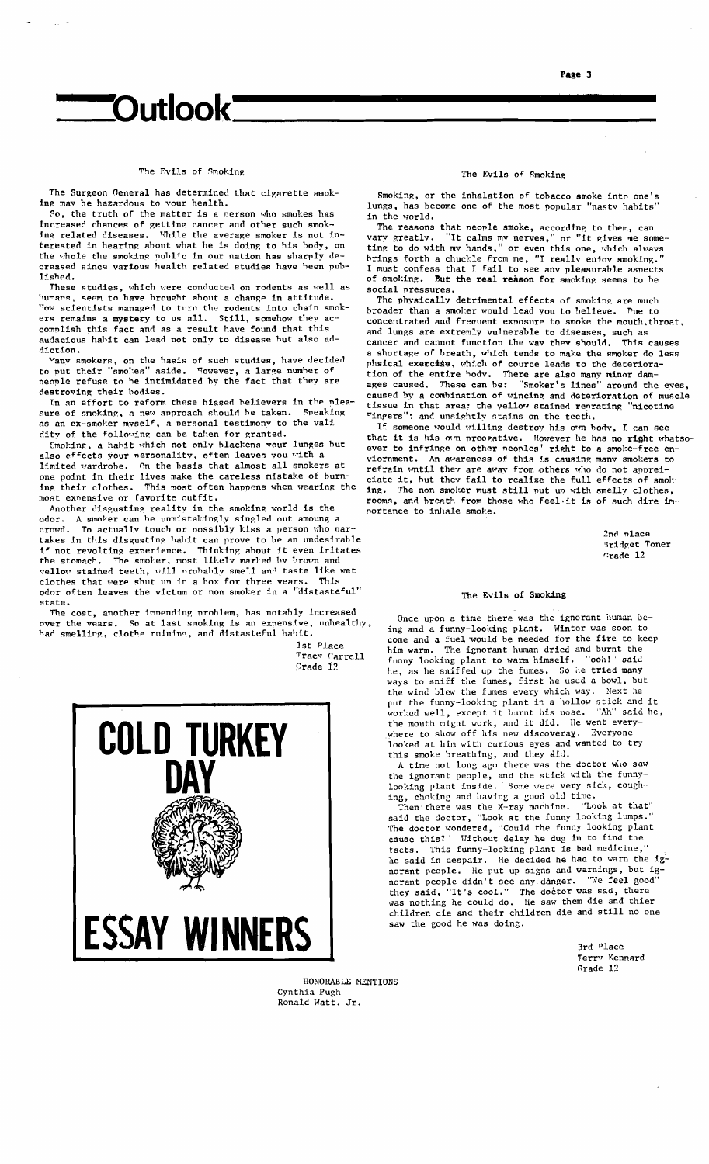# 'Outlook'

#### The Evils of Smoking

The Surgeon General has determined that cigarette smoking may be hazardous to vour health.

So, the truth of the matter is a person who smokes has increased chances of getting cancer and other such smok-While the average smoker is not ining related diseases. terested in hearing about what he is doing to his body, on the whole the smoking public in our nation has sharply decreased since various health related studies have been published.

These studies, which were conducted on rodents as well as humans, seem to have brought about a change in attitude.<br>How scientists managed to turn the rodents into chain smokers remains a mystery to us all. Still, somehow they accomplish this fact and as a result have found that this audacious habit can lead not only to disease but also addiction.

"Nany smokers, on the basis of such studies, have decided<br>to put their "smokes" aside. However, a large number of<br>neople refuse to be intimidated by the fact that they are destroving their bodies.

In an effort to reform these blased believers in the pleasure of smoking, a new approach should be taken. Speaking an ex-smoker myself, a personal testimony to the vali Speaking dity of the following can be taken for granted.

Smoking, a habit which not only blackens vour lunges but also effects your nersonality, often leaves you with a<br>limited vardrobe. On the basis that almost all smokers at one point in their lives make the careless mistake of burn-<br>ing their clothes. This most often happens when wearing the ing their clothes. most expensive or favorite outfit.

Another disgusting reality in the smoking world is the odor. A smoker can be unmistakingly singled out amoung a crowd. To actually touch or possibly kiss a person who n To actually touch or possibly kiss a person who partakes in this disgusting habit can prove to be an undesirable if not revolting experience. Thinking about it even iritates<br>the stomach. The smoker, most likely marked by brown and<br>vellov stained teeth, will probably smell and taste like wet clothes that were shut up in a box for three vears. This<br>odor often leaves the victum or non smoker in a "distasteful" state.

The cost, another innending problem, has notably increased over the vears. So at last smoking is an expensive, unhealthy, bad smelling, clothe ruining, and distasteful habit.

1st Place Tracy Carrell Grade 12



#### The Evils of Smoking

Smoking, or the inhalation of tobacco smoke into one's lungs, has become one of the most popular "nasty habits" in the world.

The reasons that people smoke, according to them, can vary greatly. "It calms my nerves," or "it gives me some<br>ting to do with my hands," or even this one, which always 'it gives me somebrings forth a chuckle from me, "I really enjoy smoking."<br>I must confess that I fail to see any pleasurable aspects of smoking. But the real reason for smoking seems to be social pressures.

The physically detrimental effects of smoking are much broader than a smoker would lead you to believe. Pue to concentrated and frequent exposure to smoke the mouth, throat, and lungs are extremly vulnerable to diseases, such as cancer and cannot function the way they should. This causes a shortage of breath, which tends to make the smoker do less phsical exercise, which of cource leads to the deteriora-<br>tion of the entire body. There are also many minor dam-<br>ages caused. These can be: "Smoker's lines" around the eves, caused by a combination of wincing and deterioration of muscle tissue in that area: the vellow stained renrating "nicotine" inpers": and unsightly stains on the teeth.

If someone would willing destroy his own body, I can see that it is his own preopative. However he has no right whatso-<br>ever to infringe on other peoples' right to a smoke-free en-An avareness of this is causing many smokers to viornment. refrain whill they are away from others who do not apprei-<br>ciate it, but they are away from others who do not apprei-The non-smoker must still put up with smelly clothes, ing. rooms, and breath from those who feel it is of such dire importance to inhale smoke.

> $2nd$  place Bridget Toner  $C<sub>rad</sub>e$  12

#### The Evils of Smoking

Once upon a time there was the ignorant human being and a funny-looking plant. Winter was soon to come and a fuel, would be needed for the fire to keep The ignorant human dried and burnt the him warm. funny looking plant to warm himself. "ooh!" said he, as he sniffed up the fumes. So he tried many<br>ways to sniff the fumes, first he used a bowl, but<br>the wind blew the fumes every which way. Next he the wind blew the rumes every which may. There and it<br>put the funny-looking plant in a hollow stick and it<br>worked wall except it burnt his nose. "Ah" said he, worked well, except it burnt his nose. the mouth might work, and it did. He went every-<br>where to show off his new discoveray. Everyone looked at him with curious eyes and wanted to try this smoke breathing, and they did.<br>A time not long ago there was the doctor who saw

the ignorant people, and the stick with the funnylooking plant inside. Some were very sick, coughing, choking and having a good old time.

Then there was the X-ray machine. "Look at that" said the doctor, "Look at the funny looking lumps."<br>The doctor wondered, "Could the funny looking lumps." cause this?" Without delay he dug in to find the facts. This funny-looking plant is bad medicine,"<br>he said in despair. He decided he had to warn the ignorant people. He put up signs and warnings, but ignorant people didn't see any danger. "We feel good"<br>they said, "It's cool." The doctor was sad, there<br>was nothing he could do. He saw them die and thier children die and their children die and still no one saw the good he was doing.

> 3rd Place Terry Kennard Grade 12

HONORABLE MENTIONS Cynthia Pugh Ronald Watt, Jr.